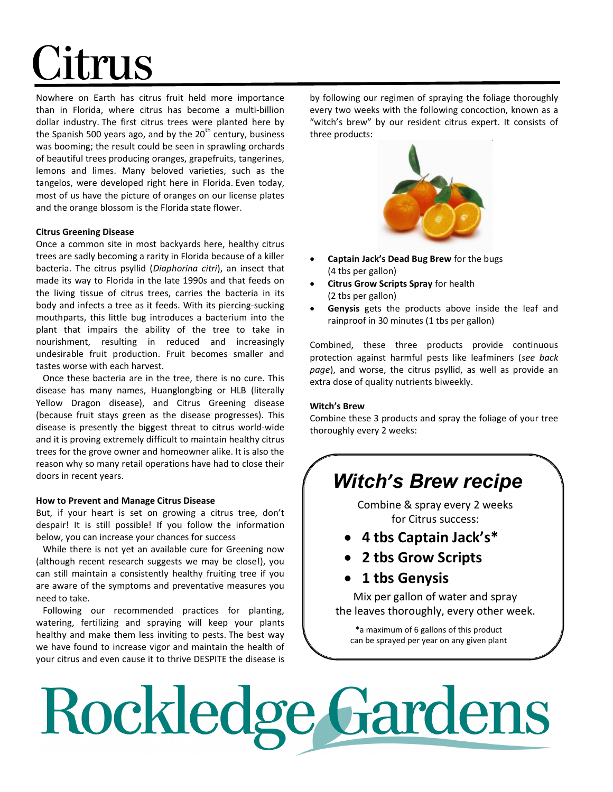## Citrus

Nowhere on Earth has citrus fruit held more importance than in Florida, where citrus has become a multi-billion dollar industry. The first citrus trees were planted here by the Spanish 500 years ago, and by the  $20<sup>th</sup>$  century, business was booming; the result could be seen in sprawling orchards of beautiful trees producing oranges, grapefruits, tangerines, lemons and limes. Many beloved varieties, such as the tangelos, were developed right here in Florida. Even today, most of us have the picture of oranges on our license plates and the orange blossom is the Florida state flower.

#### Citrus Greening Disease

Once a common site in most backyards here, healthy citrus trees are sadly becoming a rarity in Florida because of a killer bacteria. The citrus psyllid (Diaphorina citri), an insect that made its way to Florida in the late 1990s and that feeds on the living tissue of citrus trees, carries the bacteria in its body and infects a tree as it feeds. With its piercing-sucking mouthparts, this little bug introduces a bacterium into the plant that impairs the ability of the tree to take in nourishment, resulting in reduced and increasingly undesirable fruit production. Fruit becomes smaller and tastes worse with each harvest.

 Once these bacteria are in the tree, there is no cure. This disease has many names, Huanglongbing or HLB (literally Yellow Dragon disease), and Citrus Greening disease (because fruit stays green as the disease progresses). This disease is presently the biggest threat to citrus world-wide and it is proving extremely difficult to maintain healthy citrus trees for the grove owner and homeowner alike. It is also the reason why so many retail operations have had to close their doors in recent years.

#### How to Prevent and Manage Citrus Disease

But, if your heart is set on growing a citrus tree, don't despair! It is still possible! If you follow the information below, you can increase your chances for success

 While there is not yet an available cure for Greening now (although recent research suggests we may be close!), you can still maintain a consistently healthy fruiting tree if you are aware of the symptoms and preventative measures you need to take.

 Following our recommended practices for planting, watering, fertilizing and spraying will keep your plants healthy and make them less inviting to pests. The best way we have found to increase vigor and maintain the health of your citrus and even cause it to thrive DESPITE the disease is by following our regimen of spraying the foliage thoroughly every two weeks with the following concoction, known as a "witch's brew" by our resident citrus expert. It consists of three products:



- Captain Jack's Dead Bug Brew for the bugs (4 tbs per gallon)
- Citrus Grow Scripts Spray for health (2 tbs per gallon)
- Genysis gets the products above inside the leaf and rainproof in 30 minutes (1 tbs per gallon)

Combined, these three products provide continuous protection against harmful pests like leafminers (see back page), and worse, the citrus psyllid, as well as provide an extra dose of quality nutrients biweekly.

#### Witch's Brew

Combine these 3 products and spray the foliage of your tree thoroughly every 2 weeks:

### Witch's Brew recipe

Combine & spray every 2 weeks for Citrus success:

- 4 tbs Captain Jack's\*
- 2 tbs Grow Scripts
- 1 tbs Genysis

Mix per gallon of water and spray the leaves thoroughly, every other week.

\*a maximum of 6 gallons of this product can be sprayed per year on any given plant

# Rockledge Gardens